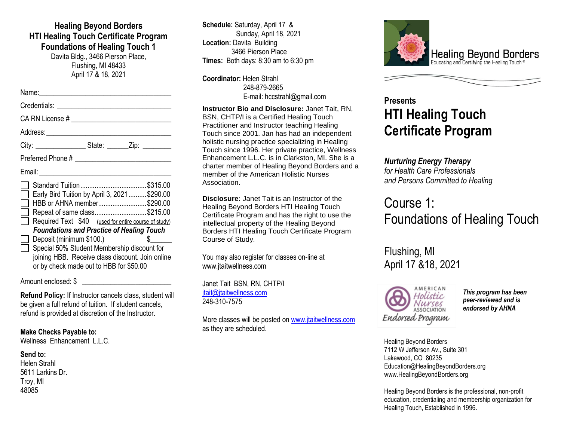### **Healing Beyond Borders HTI Healing Touch Certificate Program Foundations of Healing Touch 1** Davita Bldg., 3466 Pierson Place,

Flushing, MI 48433 April 17 & 18, 2021

## Name:\_\_\_\_\_\_\_\_\_\_\_\_\_\_\_\_\_\_\_\_\_\_\_\_\_\_\_\_\_\_\_\_\_\_\_\_\_ Credentials: \_\_\_\_\_\_\_\_\_\_\_\_\_\_\_\_\_\_\_\_\_\_\_\_\_\_\_\_\_\_\_\_ CA RN License # \_\_\_\_\_\_\_\_\_\_\_\_\_\_\_\_\_\_\_\_\_\_\_\_\_\_\_\_ Address:\_\_\_\_\_\_\_\_\_\_\_\_\_\_\_\_\_\_\_\_\_\_\_\_\_\_\_\_\_\_\_\_\_\_\_ City: \_\_\_\_\_\_\_\_\_\_\_\_\_\_\_\_\_\_\_\_\_\_\_State: \_\_\_\_\_\_\_\_\_Zip: Preferred Phone # \_\_\_\_\_\_\_\_\_\_\_\_\_\_\_\_\_\_\_\_\_\_\_\_\_\_\_ Email: \_\_\_\_\_\_\_\_\_\_\_\_\_\_\_\_\_\_\_\_\_\_\_\_\_\_\_\_\_\_\_\_\_\_\_\_\_ Standard Tuition.....................................\$315.00 Early Bird Tuition by April 3, 2021..........\$290.00 HBB or AHNA member...........................\$290.00 Repeat of same class.............................\$215.00 Required Text \$40 (used for entire course of study) *Foundations and Practice of Healing Touch* Deposit (minimum \$100.) Special 50% Student Membership discount for joining HBB. Receive class discount. Join online or by check made out to HBB for \$50.00

#### Amount enclosed: \$

**Refund Policy:** If Instructor cancels class, student will be given a full refund of tuition. If student cancels, refund is provided at discretion of the Instructor.

#### **Make Checks Payable to:**

Wellness Enhancement L.L.C.

#### **Send to:**

Helen Strahl 5611 Larkins Dr. Troy, MI 48085

**Schedule:** Saturday, April 17 & Sunday, April 18, 2021 **Location:** Davita Building 3466 Pierson Place **Times:** Both days: 8:30 am to 6:30 pm

**Coordinator:** Helen Strahl 248-879-2665 E-mail: hccstrahl@gmail.com

**Instructor Bio and Disclosure:** Janet Tait, RN, BSN, CHTP/I is a Certified Healing Touch Practitioner and Instructor teaching Healing Touch since 2001. Jan has had an independent holistic nursing practice specializing in Healing Touch since 1996. Her private practice, Wellness Enhancement L.L.C. is in Clarkston, MI. She is a charter member of Healing Beyond Borders and a member of the American Holistic Nurses Association.

**Disclosure:** Janet Tait is an Instructor of the Healing Beyond Borders HTI Healing Touch Certificate Program and has the right to use the intellectual property of the Healing Beyond Borders HTI Healing Touch Certificate Program Course of Study.

You may also register for classes on-line at www.jtaitwellness.com

Janet Tait BSN, RN, CHTP/I itait@itaitwellness.com 248-310-7575

More classes will be posted on [www.jtaitwellness.com](http://www.jtaitwellness.com/) as they are scheduled.



# **Presents HTI Healing Touch Certificate Program**

# *Nurturing Energy Therapy*

*for Health Care Professionals and Persons Committed to Healing*

# Course 1: Foundations of Healing Touch

Flushing, MI April 17 &18, 2021



*This program has been peer-reviewed and is endorsed by AHNA*

Healing Beyond Borders 7112 W Jefferson Av., Suite 301 Lakewood, CO 80235 Education@HealingBeyondBorders.org www.HealingBeyondBorders.org

Healing Beyond Borders is the professional, non-profit education, credentialing and membership organization for Healing Touch, Established in 1996.